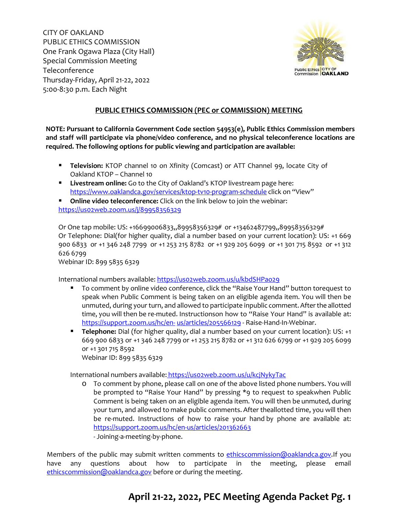CITY OF OAKLAND PUBLIC ETHICS COMMISSION One Frank Ogawa Plaza (City Hall) Special Commission Meeting Teleconference Thursday-Friday, April 21-22, 2022 5:00-8:30 p.m. Each Night



#### **PUBLIC ETHICS COMMISSION (PEC or COMMISSION) MEETING**

**NOTE: Pursuant to California Government Code section 54953(e), Public Ethics Commission members and staff will participate via phone/video conference, and no physical teleconference locations are required. The following options for public viewing and participation are available:**

- **Television:** KTOP channel 10 on Xfinity (Comcast) or ATT Channel 99, locate City of Oakland KTOP – Channel 10
- **Livestream online:** Go to the City of Oakland's KTOP livestream page here: <https://www.oaklandca.gov/services/ktop-tv10-program-schedule> click on "View"
- **Online video teleconference:** Click on the link below to join the webinar: <https://us02web.zoom.us/j/89958356329>

Or One tap mobile: US: +16699006833,,89958356329# or +13462487799,,89958356329# Or Telephone: Dial(for higher quality, dial a number based on your current location): US: +1 669 900 6833 or +1 346 248 7799 or +1 253 215 8782 or +1 929 205 6099 or +1 301 715 8592 or +1 312 626 6799

Webinar ID: 899 5835 6329

International numbers available: https://uso2web.zoom.us/u/kbdSHPao29

- To comment by online video conference, click the "Raise Your Hand" button torequest to speak when Public Comment is being taken on an eligible agenda item. You will then be unmuted, during your turn, and allowed to participate in public comment.Afterthe allotted time, you will then be re-muted. Instructionson how to "Raise Your Hand" is available at: [https://support.zoom.us/hc/en-](https://support.zoom.us/hc/en-us/articles/205566129) [us/articles/205566129](https://support.zoom.us/hc/en-us/articles/205566129) - Raise-Hand-In-Webinar.
- **Telephone:** Dial (for higher quality, dial a number based on your current location): US: +1 669 900 6833 or +1 346 248 7799 or +1 253 215 8782 or +1 312 626 6799 or +1 929 205 6099 or +1 301 715 8592 Webinar ID: 899 5835 6329

International numbers available: https://uso2web.zoom.us/u/kcjNykyTac

- o To comment by phone, please call on one of the above listed phone numbers. You will be prompted to "Raise Your Hand" by pressing \*9 to request to speakwhen Public Comment is being taken on an eligible agenda item. You will then be unmuted, during your turn, and allowed to make public comments. After the allotted time, you will then be re-muted. Instructions of how to raise your hand by phone are available at: <https://support.zoom.us/hc/en-us/articles/201362663>
	- Joining-a-meeting-by-phone.

Members of the public may submit written comments to [ethicscommission@oaklandca.gov.](mailto:ethicscommission@oaklandca.gov)If you have any questions about how to participate in the meeting, please email [ethicscommission@oaklandca.gov](mailto:ethicscommission@oaklandca.gov) before or during the meeting.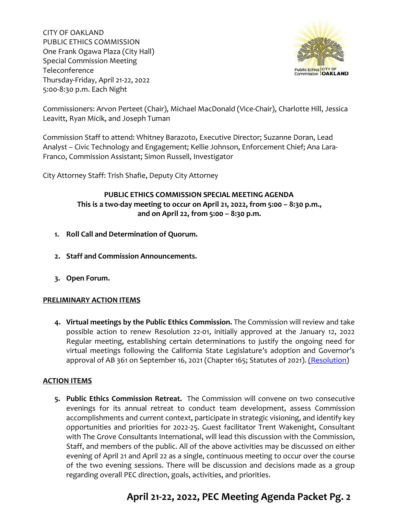CITY OF OAKLAND PUBLIC ETHICS COMMISSION One Frank Ogawa Plaza (City Hall) Special Commission Meeting Teleconference Thursday-Friday, April 21-22, 2022 5:00-8:30 p.m. Each Night



Commissioners: Arvon Perteet (Chair), Michael MacDonald (Vice-Chair), Charlotte Hill, Jessica Leavitt, Ryan Micik, and Joseph Tuman

Commission Staff to attend: Whitney Barazoto, Executive Director; Suzanne Doran, Lead Analyst – Civic Technology and Engagement; Kellie Johnson, Enforcement Chief; Ana Lara-Franco, Commission Assistant; Simon Russell, Investigator

City Attorney Staff: Trish Shafie, Deputy City Attorney

### **PUBLIC ETHICS COMMISSION SPECIAL MEETING AGENDA This is a two-day meeting to occur on April 21, 2022, from 5:00 – 8:30 p.m., and on April 22, from 5:00 – 8:30 p.m.**

- **1. Roll Call and Determination of Quorum.**
- **2. Staff and Commission Announcements.**
- **3. Open Forum.**

#### **PRELIMINARY ACTION ITEMS**

**4. Virtual meetings by the Public Ethics Commission.** The Commission will review and take possible action to renew Resolution 22-01, initially approved at the January 12, 2022 Regular meeting, establishing certain determinations to justify the ongoing need for virtual meetings following the California State Legislature's adoption and Governor's approval of AB 361 on September 16, 2021 (Chapter 165; Statutes of 2021). [\(Resolution\)](https://cao-94612.s3.amazonaws.com/documents/Resolution-22-01-Renewal-Meet-by-Teleconference-PROPOSED-RENEWAL-4-21-22-and-4-22-22.pdf)

#### **ACTION ITEMS**

**5. Public Ethics Commission Retreat.** The Commission will convene on two consecutive evenings for its annual retreat to conduct team development, assess Commission accomplishments and current context, participate in strategic visioning, and identify key opportunities and priorities for 2022-25. Guest facilitator Trent Wakenight, Consultant with The Grove Consultants International, will lead this discussion with the Commission, Staff, and members of the public. All of the above activities may be discussed on either evening of April 21 and April 22 as a single, continuous meeting to occur over the course of the two evening sessions. There will be discussion and decisions made as a group regarding overall PEC direction, goals, activities, and priorities.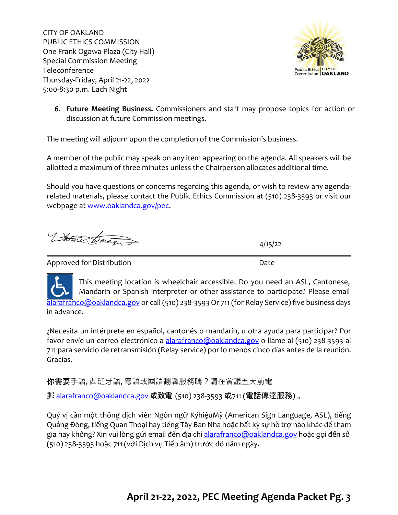CITY OF OAKLAND PUBLIC ETHICS COMMISSION One Frank Ogawa Plaza (City Hall) Special Commission Meeting Teleconference Thursday-Friday, April 21-22, 2022 5:00-8:30 p.m. Each Night



**6. Future Meeting Business.** Commissioners and staff may propose topics for action or discussion at future Commission meetings.

The meeting will adjourn upon the completion of the Commission's business.

A member of the public may speak on any item appearing on the agenda. All speakers will be allotted a maximum of three minutes unless the Chairperson allocates additional time.

Should you have questions or concerns regarding this agenda, or wish to review any agendarelated materials, please contact the Public Ethics Commission at (510) 238-3593 or visit our webpage at [www.oaklandca.gov/pec.](http://www.oaklandca.gov/pec)

Votale Baran

4/15/22

Approved for Distribution **Date** 

This meeting location is wheelchair accessible. Do you need an ASL, Cantonese, Mandarin or Spanish interpreter or other assistance to participate? Please email [alarafranco@oaklandca.gov](mailto:alarafranco@oaklandca.gov) or call (510) 238-3593 Or 711 (for Relay Service) five business days in advance.

¿Necesita un intérprete en español, cantonés o mandarín, u otra ayuda para participar? Por favor envíe un correo electrónico a [alarafranco@oaklandca.gov](mailto:alarafranco@oaklandca.gov) o llame al (510) 238-3593 al 711 para servicio de retransmisión (Relay service) por lo menos cinco días antes de la reunión. Gracias.

你需要手語, 西班牙語, 粵語或國語翻譯服務嗎?請在會議五天前電

郵 [alarafranco@oaklandca.gov](mailto:alarafranco@oaklandca.gov) 或致電 (510) 238-3593 或711 (電話傳達服務) 。

Quý vị cần một thông dịch viên Ngôn ngữ KýhiệuMỹ (American Sign Language, ASL), tiếng Quảng Đông, tiếng Quan Thoại hay tiếng Tây Ban Nha hoặc bất kỳ sự hỗ trợ nào khác để tham gia hay không? Xin vui lòng gửi email đến địa chỉ [alarafranco@oaklandca.gov](mailto:alarafranco@oaklandca.gov) hoặc gọi đến số (510) 238-3593 hoặc 711 (với Dịch vụ Tiếp âm) trước đó năm ngày.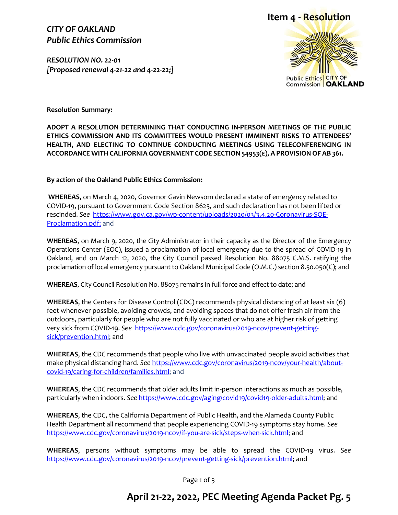### *CITY OF OAKLAND Public Ethics Commission*

*RESOLUTION NO. 22-01 [Proposed renewal 4-21-22 and 4-22-22;]*





**Resolution Summary:**

**ADOPT A RESOLUTION DETERMINING THAT CONDUCTING IN-PERSON MEETINGS OF THE PUBLIC ETHICS COMMISSION AND ITS COMMITTEES WOULD PRESENT IMMINENT RISKS TO ATTENDEES' HEALTH, AND ELECTING TO CONTINUE CONDUCTING MEETINGS USING TELECONFERENCING IN ACCORDANCE WITH CALIFORNIA GOVERNMENT CODE SECTION 54953(E), A PROVISION OF AB 361.**

**By action of the Oakland Public Ethics Commission:**

**WHEREAS,** on March 4, 2020, Governor Gavin Newsom declared a state of emergency related to COVID-19, pursuant to Government Code Section 8625, and such declaration has not been lifted or rescinded. *See* [https://www.gov.ca.gov/wp-content/uploads/2020/03/3.4.20-Coronavirus-SOE-](https://www.gov.ca.gov/wp-content/uploads/2020/03/3.4.20-Coronavirus-SOE-Proclamation.pdf)[Proclamation.pdf;](https://www.gov.ca.gov/wp-content/uploads/2020/03/3.4.20-Coronavirus-SOE-Proclamation.pdf) and

**WHEREAS**, on March 9, 2020, the City Administrator in their capacity as the Director of the Emergency Operations Center (EOC), issued a proclamation of local emergency due to the spread of COVID-19 in Oakland, and on March 12, 2020, the City Council passed Resolution No. 88075 C.M.S. ratifying the proclamation of local emergency pursuant to Oakland Municipal Code (O.M.C.) section 8.50.050(C); and

**WHEREAS**, City Council Resolution No. 88075 remains in full force and effect to date; and

**WHEREAS**, the Centers for Disease Control (CDC) recommends physical distancing of at least six (6) feet whenever possible, avoiding crowds, and avoiding spaces that do not offer fresh air from the outdoors, particularly for people who are not fully vaccinated or who are at higher risk of getting very sick from COVID-19. *See* [https://www.cdc.gov/coronavirus/2019-ncov/prevent-getting](https://www.cdc.gov/coronavirus/2019-ncov/prevent-getting-sick/prevention.html)[sick/prevention.html;](https://www.cdc.gov/coronavirus/2019-ncov/prevent-getting-sick/prevention.html) and

**WHEREAS**, the CDC recommends that people who live with unvaccinated people avoid activities that make physical distancing hard. *See* [https://www.cdc.gov/coronavirus/2019-ncov/your-health/about](https://www.cdc.gov/coronavirus/2019-ncov/your-health/about-covid-19/caring-for-children/families.html)[covid-19/caring-for-children/families.html;](https://www.cdc.gov/coronavirus/2019-ncov/your-health/about-covid-19/caring-for-children/families.html) and

**WHEREAS**, the CDC recommends that older adults limit in-person interactions as much as possible, particularly when indoors. *See* [https://www.cdc.gov/aging/covid19/covid19-older-adults.html;](https://www.cdc.gov/aging/covid19/covid19-older-adults.html) and

**WHEREAS**, the CDC, the California Department of Public Health, and the Alameda County Public Health Department all recommend that people experiencing COVID-19 symptoms stay home. *See* [https://www.cdc.gov/coronavirus/2019-ncov/if-you-are-sick/steps-when-sick.html;](https://www.cdc.gov/coronavirus/2019-ncov/if-you-are-sick/steps-when-sick.html) and

**WHEREAS**, persons without symptoms may be able to spread the COVID-19 virus. *See*  [https://www.cdc.gov/coronavirus/2019-ncov/prevent-getting-sick/prevention.html;](https://www.cdc.gov/coronavirus/2019-ncov/prevent-getting-sick/prevention.html) and

Page 1 of 3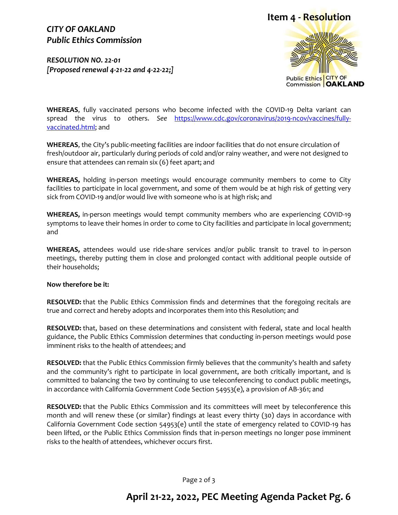## **Item 4 - Resolution**

### *CITY OF OAKLAND Public Ethics Commission*

*RESOLUTION NO. 22-01 [Proposed renewal 4-21-22 and 4-22-22;]*



**WHEREAS**, fully vaccinated persons who become infected with the COVID-19 Delta variant can spread the virus to others. *See* [https://www.cdc.gov/coronavirus/2019-ncov/vaccines/fully](https://www.cdc.gov/coronavirus/2019-ncov/vaccines/fully-vaccinated.html)[vaccinated.html;](https://www.cdc.gov/coronavirus/2019-ncov/vaccines/fully-vaccinated.html) and

**WHEREAS**, the City's public-meeting facilities are indoor facilities that do not ensure circulation of fresh/outdoor air, particularly during periods of cold and/or rainy weather, and were not designed to ensure that attendees can remain six (6) feet apart; and

**WHEREAS,** holding in-person meetings would encourage community members to come to City facilities to participate in local government, and some of them would be at high risk of getting very sick from COVID-19 and/or would live with someone who is at high risk; and

**WHEREAS,** in-person meetings would tempt community members who are experiencing COVID-19 symptoms to leave their homes in order to come to City facilities and participate in local government; and

**WHEREAS,** attendees would use ride-share services and/or public transit to travel to in-person meetings, thereby putting them in close and prolonged contact with additional people outside of their households;

#### **Now therefore be it:**

**RESOLVED:** that the Public Ethics Commission finds and determines that the foregoing recitals are true and correct and hereby adopts and incorporates them into this Resolution; and

**RESOLVED:** that, based on these determinations and consistent with federal, state and local health guidance, the Public Ethics Commission determines that conducting in-person meetings would pose imminent risks to the health of attendees; and

**RESOLVED:** that the Public Ethics Commission firmly believes that the community's health and safety and the community's right to participate in local government, are both critically important, and is committed to balancing the two by continuing to use teleconferencing to conduct public meetings, in accordance with California Government Code Section 54953(e), a provision of AB-361; and

**RESOLVED:** that the Public Ethics Commission and its committees will meet by teleconference this month and will renew these (or similar) findings at least every thirty (30) days in accordance with California Government Code section 54953(e) until the state of emergency related to COVID-19 has been lifted, or the Public Ethics Commission finds that in-person meetings no longer pose imminent risks to the health of attendees, whichever occurs first.

Page 2 of 3